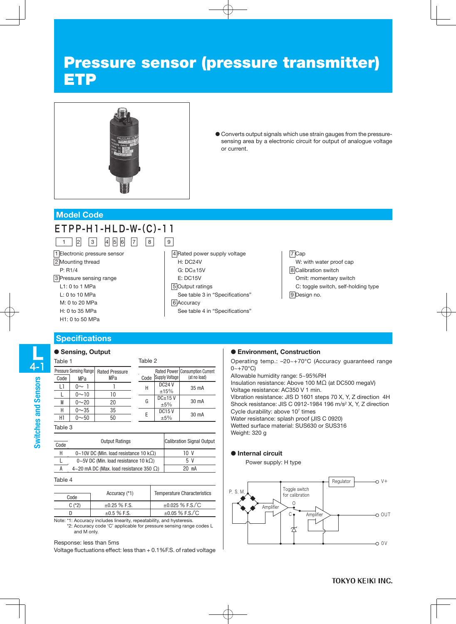# Pressure sensor (pressure transmitter) ETP



● Converts output signals which use strain gauges from the pressuresensing area by a electronic circuit for output of analogue voltage or current.

### **Model Code**

## ETPP-H1-HLD-W-(C)-11 1 | 2 | 3 | 4 | 5 | 6 | 7 | 8 | 9

1 Electronic pressure sensor 2 Mounting thread P: R1/4 3 Pressure sensing range L1: 0 to 1 MPa L: 0 to 10 MPa M: 0 to 20 MPa H: 0 to 35 MPa H1: 0 to 50 MPa

### **Specifications**

### ● Sensing, Output

| г<br><b>Service Service</b> |
|-----------------------------|
| í<br>j                      |
|                             |
| i<br>I<br>j                 |

| Table 1 |                                       |                              | Table 2 |                       |                                                   |  |
|---------|---------------------------------------|------------------------------|---------|-----------------------|---------------------------------------------------|--|
| Code    | <b>Pressure Sensing Rangel</b><br>MPa | <b>Rated Pressure</b><br>MPa | Code    | <b>Supply Voltage</b> | Rated Power   Consumption Current<br>(at no load) |  |
| L1      | ∩∼ 1                                  |                              | Н       | <b>DC24 V</b><br>±15% | 35 mA                                             |  |
|         | $0 - 10$                              | 10                           |         | $DC+15V$              |                                                   |  |
| M       | $0 - 20$                              | 20                           | G       | ±5%                   | 30 mA                                             |  |
| Н       | $0 - 35$                              | 35                           |         | <b>DC15V</b>          |                                                   |  |
| HI      | $0 - 50$                              | 50                           | E       | ±5%                   | 30 mA                                             |  |
| Table 3 |                                       |                              |         |                       |                                                   |  |
|         |                                       | <b>Output Ratings</b>        |         |                       | <b>Calibration Signal Output</b>                  |  |

|                   | <b>Output Ratings</b>                             | <b>Calibration Signal Ou</b> |  |  |
|-------------------|---------------------------------------------------|------------------------------|--|--|
| Code <sup>l</sup> |                                                   |                              |  |  |
| Н                 | $0~10$ V DC (Min. load resistance 10 k $\Omega$ ) | 10 V                         |  |  |
|                   | $0~5V$ DC (Min. load resistance 10 k $\Omega$ )   | 5 V                          |  |  |
| А                 | 4~20 mA DC (Max. load resistance 350 $\Omega$ )   | 20 mA                        |  |  |

### Table 4

| Code     | Accuracy (*1)     | <b>Temperature Characteristics</b> |  |  |
|----------|-------------------|------------------------------------|--|--|
| $C$ (*2) | $\pm 0.25$ % F.S. | $\pm 0.025$ % F.S. $\degree$ C     |  |  |
| D        | $\pm 0.5$ % F.S.  | $\pm 0.05$ % F.S. $\degree$ C      |  |  |

Note: \*1: Accuracy includes linearity, repeatability, and hysteresis. \*2: Accuracy code 'C' applicable for pressure sensing range codes L and M only.

### Response: less than 5ms

Voltage fluctuations effect: less than + 0.1%F.S. of rated voltage

- 5 Output ratings See table 3 in "Specifications"
- 6 Accuracy

H: DC24V G: DC±15V E: DC15V

See table 4 in "Specifications"

4 Rated power supply voltage

### 7 Cap

W: with water proof cap 8 Calibration switch Omit: momentary switch C: toggle switch, self-holding type 9 Design no.

### ● **Environment, Construction**

Operating temp.: –20~+70°C (Accuracy guaranteed range 0~+70°C)

Allowable humidity range: 5~95%RH Insulation resistance: Above 100 MΩ (at DC500 megaV) Voltage resistance: AC350 V 1 min. Vibration resistance: JIS D 1601 steps 70 X, Y, Z direction 4H Shock resistance: JIS C 0912-1984 196 m/s<sup>2</sup> X, Y, Z direction Cycle durability: above 107 times Water resistance: splash proof (JIS C 0920) Wetted surface material: SUS630 or SUS316 Weight: 320 g

### ● **Internal circuit**

Power supply: H type